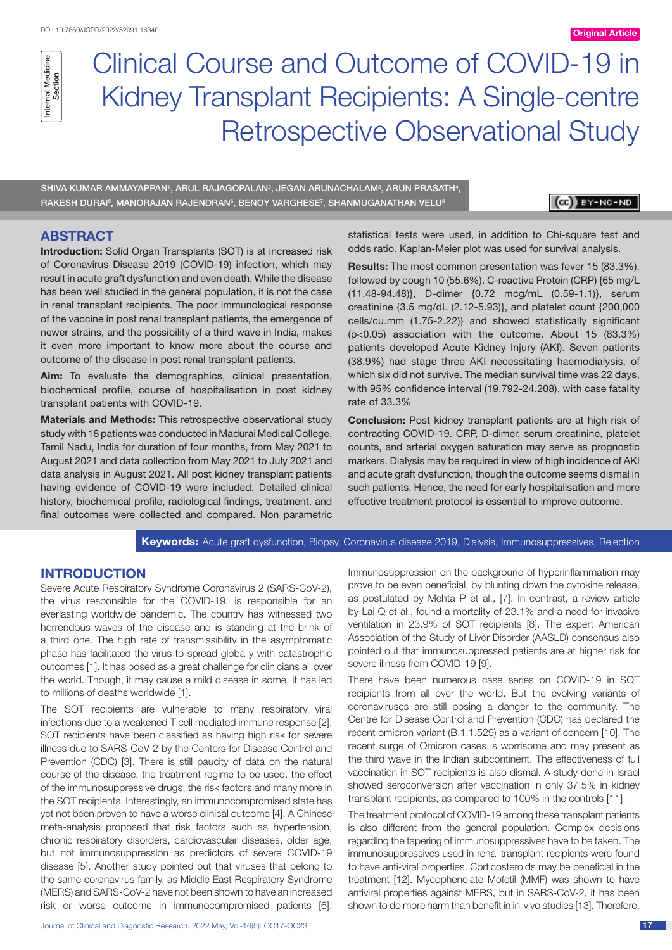# Clinical Course and Outcome of COVID-19 in Kidney Transplant Recipients: A Single-centre Retrospective Observational Study

SHIVA KUMAR AMMAYAPPAN', ARUL RAJAGOPALAN<sup>2</sup>, JEGAN ARUNACHALAM<sup>3</sup>, ARUN PRASATH<del>'</del>, RAKESH DURAI§, MANORAJAN RAJENDRAN§, BENOY VARGHESE7, SHANMUGANATHAN VELU®

 $(c)$   $y - NC - NO$ 

## **ABSTRACT**

**Introduction:** Solid Organ Transplants (SOT) is at increased risk of Coronavirus Disease 2019 (COVID-19) infection, which may result in acute graft dysfunction and even death. While the disease has been well studied in the general population, it is not the case in renal transplant recipients. The poor immunological response of the vaccine in post renal transplant patients, the emergence of newer strains, and the possibility of a third wave in India, makes it even more important to know more about the course and outcome of the disease in post renal transplant patients.

**Aim:** To evaluate the demographics, clinical presentation, biochemical profile, course of hospitalisation in post kidney transplant patients with COVID-19.

**Materials and Methods:** This retrospective observational study study with 18 patients was conducted in Madurai Medical College, Tamil Nadu, India for duration of four months, from May 2021 to August 2021 and data collection from May 2021 to July 2021 and data analysis in August 2021. All post kidney transplant patients having evidence of COVID-19 were included. Detailed clinical history, biochemical profile, radiological findings, treatment, and final outcomes were collected and compared. Non parametric statistical tests were used, in addition to Chi-square test and odds ratio. Kaplan-Meier plot was used for survival analysis.

**Results:** The most common presentation was fever 15 (83.3%), followed by cough 10 (55.6%). C-reactive Protein (CRP) {65 mg/L (11.48-94.48)}, D-dimer {0.72 mcg/mL (0.59-1.1)}, serum creatinine {3.5 mg/dL (2.12-5.93)}, and platelet count {200,000 cells/cu.mm (1.75-2.22)} and showed statistically significant (p<0.05) association with the outcome. About 15 (83.3%) patients developed Acute Kidney Injury (AKI). Seven patients (38.9%) had stage three AKI necessitating haemodialysis, of which six did not survive. The median survival time was 22 days, with 95% confidence interval (19.792-24.208), with case fatality rate of 33.3%

**Conclusion:** Post kidney transplant patients are at high risk of contracting COVID-19. CRP, D-dimer, serum creatinine, platelet counts, and arterial oxygen saturation may serve as prognostic markers. Dialysis may be required in view of high incidence of AKI and acute graft dysfunction, though the outcome seems dismal in such patients. Hence, the need for early hospitalisation and more effective treatment protocol is essential to improve outcome.

**Keywords:** Acute graft dysfunction, Biopsy, Coronavirus disease 2019, Dialysis, Immunosuppressives, Rejection

## **INTRODUCTION**

Severe Acute Respiratory Syndrome Coronavirus 2 (SARS-CoV-2), the virus responsible for the COVID-19, is responsible for an everlasting worldwide pandemic. The country has witnessed two horrendous waves of the disease and is standing at the brink of a third one. The high rate of transmissibility in the asymptomatic phase has facilitated the virus to spread globally with catastrophic outcomes [1]. It has posed as a great challenge for clinicians all over the world. Though, it may cause a mild disease in some, it has led to millions of deaths worldwide [1].

The SOT recipients are vulnerable to many respiratory viral infections due to a weakened T-cell mediated immune response [2]. SOT recipients have been classified as having high risk for severe illness due to SARS-CoV-2 by the Centers for Disease Control and Prevention (CDC) [3]. There is still paucity of data on the natural course of the disease, the treatment regime to be used, the effect of the immunosuppressive drugs, the risk factors and many more in the SOT recipients. Interestingly, an immunocompromised state has yet not been proven to have a worse clinical outcome [4]. A Chinese meta-analysis proposed that risk factors such as hypertension, chronic respiratory disorders, cardiovascular diseases, older age, but not immunosuppression as predictors of severe COVID-19 disease [5]. Another study pointed out that viruses that belong to the same coronavirus family, as Middle East Respiratory Syndrome (MERS) and SARS-CoV-2 have not been shown to have an increased risk or worse outcome in immunocompromised patients [6].

Immunosuppression on the background of hyperinflammation may prove to be even beneficial, by blunting down the cytokine release, as postulated by Mehta P et al., [7]. In contrast, a review article by Lai Q et al., found a mortality of 23.1% and a need for invasive ventilation in 23.9% of SOT recipients [8]. The expert American Association of the Study of Liver Disorder (AASLD) consensus also pointed out that immunosuppressed patients are at higher risk for severe illness from COVID-19 [9].

There have been numerous case series on COVID-19 in SOT recipients from all over the world. But the evolving variants of coronaviruses are still posing a danger to the community. The Centre for Disease Control and Prevention (CDC) has declared the recent omicron variant (B.1.1.529) as a variant of concern [10]. The recent surge of Omicron cases is worrisome and may present as the third wave in the Indian subcontinent. The effectiveness of full vaccination in SOT recipients is also dismal. A study done in Israel showed seroconversion after vaccination in only 37.5% in kidney transplant recipients, as compared to 100% in the controls [11].

The treatment protocol of COVID-19 among these transplant patients is also different from the general population. Complex decisions regarding the tapering of immunosuppressives have to be taken. The immunosuppressives used in renal transplant recipients were found to have anti-viral properties. Corticosteroids may be beneficial in the treatment [12]. Mycophenolate Mofetil (MMF) was shown to have antiviral properties against MERS, but in SARS-CoV-2, it has been shown to do more harm than benefit in in-vivo studies [13]. Therefore,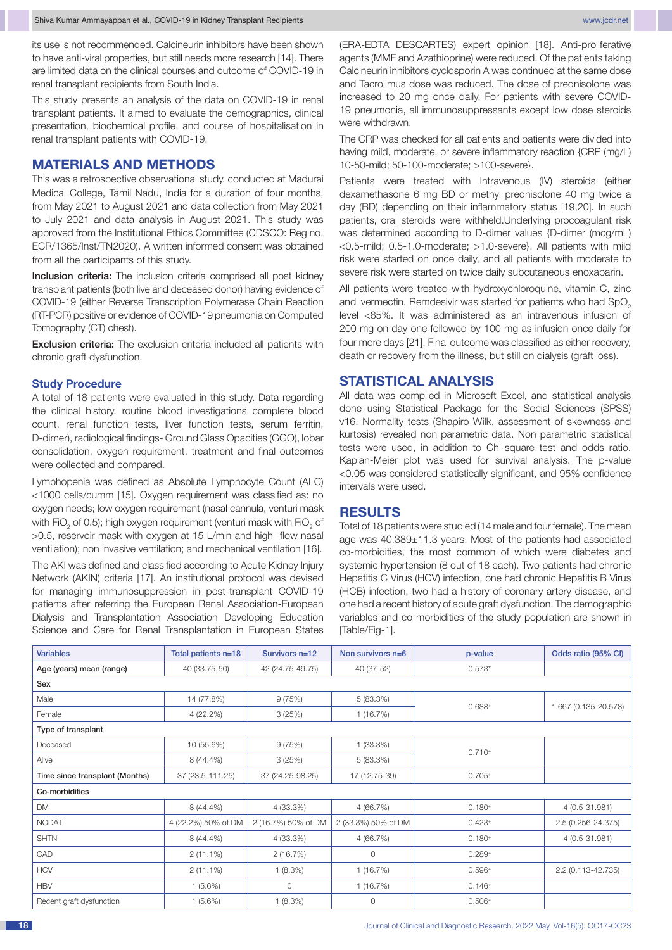its use is not recommended. Calcineurin inhibitors have been shown to have anti-viral properties, but still needs more research [14]. There are limited data on the clinical courses and outcome of COVID-19 in renal transplant recipients from South India.

This study presents an analysis of the data on COVID-19 in renal transplant patients. It aimed to evaluate the demographics, clinical presentation, biochemical profile, and course of hospitalisation in renal transplant patients with COVID-19.

## **MATERIALS AND METHODS**

This was a retrospective observational study. conducted at Madurai Medical College, Tamil Nadu, India for a duration of four months, from May 2021 to August 2021 and data collection from May 2021 to July 2021 and data analysis in August 2021. This study was approved from the Institutional Ethics Committee (CDSCO: Reg no. ECR/1365/Inst/TN2020). A written informed consent was obtained from all the participants of this study.

Inclusion criteria: The inclusion criteria comprised all post kidney transplant patients (both live and deceased donor) having evidence of COVID-19 (either Reverse Transcription Polymerase Chain Reaction (RT-PCR) positive or evidence of COVID-19 pneumonia on Computed Tomography (CT) chest).

**Exclusion criteria:** The exclusion criteria included all patients with chronic graft dysfunction.

#### **Study Procedure**

A total of 18 patients were evaluated in this study. Data regarding the clinical history, routine blood investigations complete blood count, renal function tests, liver function tests, serum ferritin, D-dimer), radiological findings- Ground Glass Opacities (GGO), lobar consolidation, oxygen requirement, treatment and final outcomes were collected and compared.

Lymphopenia was defined as Absolute Lymphocyte Count (ALC) <1000 cells/cumm [15]. Oxygen requirement was classified as: no oxygen needs; low oxygen requirement (nasal cannula, venturi mask with FiO<sub>2</sub> of 0.5); high oxygen requirement (venturi mask with FiO<sub>2</sub> of >0.5, reservoir mask with oxygen at 15 L/min and high -flow nasal ventilation); non invasive ventilation; and mechanical ventilation [16].

The AKI was defined and classified according to Acute Kidney Injury Network (AKIN) criteria [17]. An institutional protocol was devised for managing immunosuppression in post-transplant COVID-19 patients after referring the European Renal Association-European Dialysis and Transplantation Association Developing Education Science and Care for Renal Transplantation in European States (ERA-EDTA DESCARTES) expert opinion [18]. Anti-proliferative agents (MMF and Azathioprine) were reduced. Of the patients taking Calcineurin inhibitors cyclosporin A was continued at the same dose and Tacrolimus dose was reduced. The dose of prednisolone was increased to 20 mg once daily. For patients with severe COVID-19 pneumonia, all immunosuppressants except low dose steroids were withdrawn.

The CRP was checked for all patients and patients were divided into having mild, moderate, or severe inflammatory reaction {CRP (mg/L) 10-50-mild; 50-100-moderate; >100-severe}.

Patients were treated with Intravenous (IV) steroids (either dexamethasone 6 mg BD or methyl prednisolone 40 mg twice a day (BD) depending on their inflammatory status [19,20]. In such patients, oral steroids were withheld.Underlying procoagulant risk was determined according to D-dimer values {D-dimer (mcg/mL) <0.5-mild; 0.5-1.0-moderate; >1.0-severe}. All patients with mild risk were started on once daily, and all patients with moderate to severe risk were started on twice daily subcutaneous enoxaparin.

All patients were treated with hydroxychloroquine, vitamin C, zinc and ivermectin. Remdesivir was started for patients who had SpO<sub>2</sub> level <85%. It was administered as an intravenous infusion of 200 mg on day one followed by 100 mg as infusion once daily for four more days [21]. Final outcome was classified as either recovery, death or recovery from the illness, but still on dialysis (graft loss).

## **STATISTICAL ANALYSIS**

All data was compiled in Microsoft Excel, and statistical analysis done using Statistical Package for the Social Sciences (SPSS) v16. Normality tests (Shapiro Wilk, assessment of skewness and kurtosis) revealed non parametric data. Non parametric statistical tests were used, in addition to Chi-square test and odds ratio. Kaplan-Meier plot was used for survival analysis. The p-value <0.05 was considered statistically significant, and 95% confidence intervals were used.

## **RESULTS**

Total of 18 patients were studied (14 male and four female). The mean age was 40.389±11.3 years. Most of the patients had associated co-morbidities, the most common of which were diabetes and systemic hypertension (8 out of 18 each). Two patients had chronic Hepatitis C Virus (HCV) infection, one had chronic Hepatitis B Virus (HCB) infection, two had a history of coronary artery disease, and one had a recent history of acute graft dysfunction. The demographic variables and co-morbidities of the study population are shown in [Table/Fig-1].

| <b>Variables</b>               | Total patients n=18 | Survivors n=12      | Non survivors n=6   | p-value  | Odds ratio (95% CI)  |  |  |  |
|--------------------------------|---------------------|---------------------|---------------------|----------|----------------------|--|--|--|
| Age (years) mean (range)       | 40 (33.75-50)       | 42 (24.75-49.75)    | 40 (37-52)          | $0.573*$ |                      |  |  |  |
| Sex                            |                     |                     |                     |          |                      |  |  |  |
| Male                           | 14 (77.8%)          | 9(75%)              | 5 (83.3%)           | $0.688+$ |                      |  |  |  |
| Female                         | 4(22.2%)            | 3(25%)              | 1(16.7%)            |          | 1.667 (0.135-20.578) |  |  |  |
| Type of transplant             |                     |                     |                     |          |                      |  |  |  |
| Deceased                       | 10 (55.6%)          | 9(75%)              | $1(33.3\%)$         | $0.710+$ |                      |  |  |  |
| Alive                          | 8 (44.4%)           | 3(25%)              | 5(83.3%)            |          |                      |  |  |  |
| Time since transplant (Months) | 37 (23.5-111.25)    | 37 (24.25-98.25)    | 17 (12.75-39)       | $0.705+$ |                      |  |  |  |
| Co-morbidities                 |                     |                     |                     |          |                      |  |  |  |
| DM                             | 8 (44.4%)           | 4 (33.3%)           | 4 (66.7%)           | $0.180+$ | 4 (0.5-31.981)       |  |  |  |
| <b>NODAT</b>                   | 4 (22.2%) 50% of DM | 2 (16.7%) 50% of DM | 2 (33.3%) 50% of DM | $0.423+$ | 2.5 (0.256-24.375)   |  |  |  |
| <b>SHTN</b>                    | 8 (44.4%)           | 4 (33.3%)           | 4 (66.7%)           | $0.180+$ | 4 (0.5-31.981)       |  |  |  |
| CAD                            | $2(11.1\%)$         | 2(16.7%)            | $\circ$             | $0.289+$ |                      |  |  |  |
| <b>HCV</b>                     | $2(11.1\%)$         | $1(8.3\%)$          | 1 (16.7%)           | $0.596+$ | 2.2 (0.113-42.735)   |  |  |  |
| <b>HBV</b>                     | $1(5.6\%)$          | 0                   | 1(16.7%)            | $0.146+$ |                      |  |  |  |
| Recent graft dysfunction       | $1(5.6\%)$          | $1(8.3\%)$          | 0                   | $0.506+$ |                      |  |  |  |
|                                |                     |                     |                     |          |                      |  |  |  |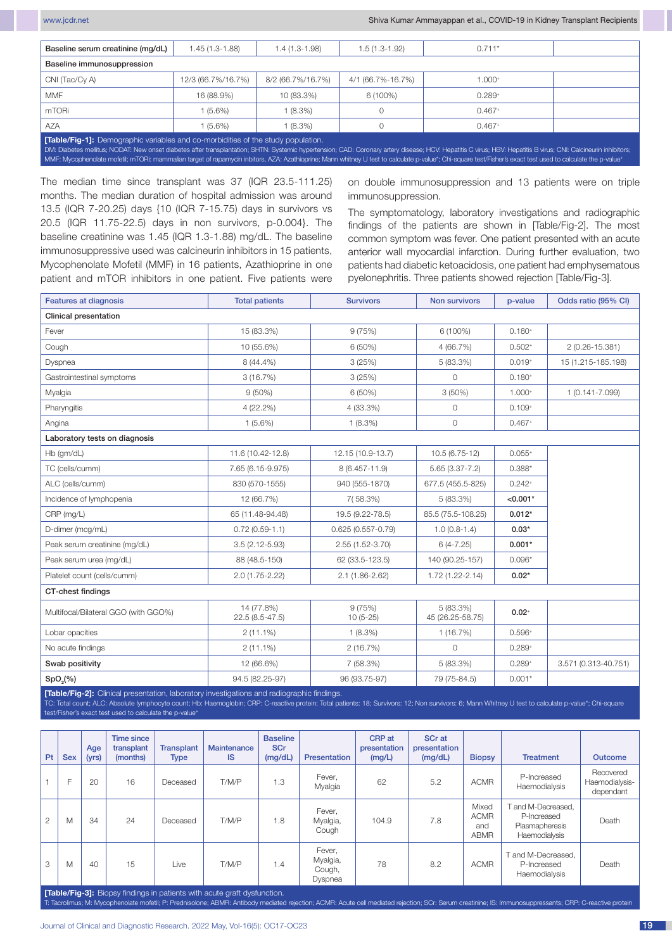| Baseline serum creatinine (mg/dL)                                                                                                                                                                                                                                                                                                                                                                                                                                                                                         | 1.45 (1.3-1.88)    | $1.4(1.3-1.98)$   | $1.5(1.3-1.92)$   | $0.711*$ |  |  |  |  |  |
|---------------------------------------------------------------------------------------------------------------------------------------------------------------------------------------------------------------------------------------------------------------------------------------------------------------------------------------------------------------------------------------------------------------------------------------------------------------------------------------------------------------------------|--------------------|-------------------|-------------------|----------|--|--|--|--|--|
| Baseline immunosuppression                                                                                                                                                                                                                                                                                                                                                                                                                                                                                                |                    |                   |                   |          |  |  |  |  |  |
| CNI (Tac/Cy A)                                                                                                                                                                                                                                                                                                                                                                                                                                                                                                            | 12/3 (66.7%/16.7%) | 8/2 (66.7%/16.7%) | 4/1 (66.7%-16.7%) | $1.000+$ |  |  |  |  |  |
| <b>MMF</b>                                                                                                                                                                                                                                                                                                                                                                                                                                                                                                                | 16 (88.9%)         | 10 (83.3%)        | 6 (100%)          | $0.289+$ |  |  |  |  |  |
| mTORi                                                                                                                                                                                                                                                                                                                                                                                                                                                                                                                     | $(5.6\%)$          | $(8.3\%)$         |                   | $0.467+$ |  |  |  |  |  |
| <b>AZA</b><br>$(5.6\%)$<br>$(8.3\%)$<br>$0.467+$                                                                                                                                                                                                                                                                                                                                                                                                                                                                          |                    |                   |                   |          |  |  |  |  |  |
| <b>[Table/Fig-1]:</b> Demographic variables and co-morbidities of the study population.<br>DM: Diabetes mellitus; NODAT: New onset diabetes after transplantation; SHTN: Systemic hypertension; CAD: Coronary artery disease; HCV: Hepatitis C virus; HBV: Hepatitis B virus; CNI: Calcineurin inhibitors;<br>MMF: Mycophenolate mofetil; mTORi: mammalian target of rapamycin inbitors, AZA: Azathioprine; Mann whitney U test to calculate p-value*; Chi-square test/Fisher's exact test used to calculate the p-value* |                    |                   |                   |          |  |  |  |  |  |

The median time since transplant was 37 (IQR 23.5-111.25) months. The median duration of hospital admission was around 13.5 (IQR 7-20.25) days {10 (IQR 7-15.75) days in survivors vs 20.5 (IQR 11.75-22.5) days in non survivors, p-0.004}. The baseline creatinine was 1.45 (IQR 1.3-1.88) mg/dL. The baseline immunosuppressive used was calcineurin inhibitors in 15 patients, Mycophenolate Mofetil (MMF) in 16 patients, Azathioprine in one patient and mTOR inhibitors in one patient. Five patients were on double immunosuppression and 13 patients were on triple immunosuppression.

The symptomatology, laboratory investigations and radiographic findings of the patients are shown in [Table/Fig-2]. The most common symptom was fever. One patient presented with an acute anterior wall myocardial infarction. During further evaluation, two patients had diabetic ketoacidosis, one patient had emphysematous pyelonephritis. Three patients showed rejection [Table/Fig-3].

| <b>Features at diagnosis</b>                                                               | <b>Total patients</b>         | <b>Survivors</b>      | <b>Non survivors</b>          | p-value    | Odds ratio (95% CI)  |  |  |  |  |
|--------------------------------------------------------------------------------------------|-------------------------------|-----------------------|-------------------------------|------------|----------------------|--|--|--|--|
| <b>Clinical presentation</b>                                                               |                               |                       |                               |            |                      |  |  |  |  |
| Fever                                                                                      | 15 (83.3%)                    | 9(75%)                | 6 (100%)                      | $0.180+$   |                      |  |  |  |  |
| Cough                                                                                      | 10 (55.6%)                    | 6 (50%)               | 4 (66.7%)                     | $0.502+$   | 2 (0.26-15.381)      |  |  |  |  |
| Dyspnea                                                                                    | 8 (44.4%)                     | 3(25%)                | 5(83.3%)                      | $0.019+$   | 15 (1.215-185.198)   |  |  |  |  |
| Gastrointestinal symptoms                                                                  | 3(16.7%)                      | 3(25%)                | 0                             | $0.180+$   |                      |  |  |  |  |
| Myalgia                                                                                    | $9(50\%)$                     | 6 (50%)               | 3(50%)                        | $1.000+$   | $1(0.141 - 7.099)$   |  |  |  |  |
| Pharyngitis                                                                                | 4 (22.2%)                     | 4 (33.3%)             | 0                             | $0.109+$   |                      |  |  |  |  |
| Angina                                                                                     | $1(5.6\%)$                    | $1(8.3\%)$            | 0                             | $0.467+$   |                      |  |  |  |  |
| Laboratory tests on diagnosis                                                              |                               |                       |                               |            |                      |  |  |  |  |
| Hb (gm/dL)                                                                                 | 11.6 (10.42-12.8)             | 12.15 (10.9-13.7)     | 10.5 (6.75-12)                | $0.055+$   |                      |  |  |  |  |
| TC (cells/cumm)                                                                            | 7.65 (6.15-9.975)             | 8 (6.457-11.9)        | $5.65(3.37 - 7.2)$            | $0.388*$   |                      |  |  |  |  |
| ALC (cells/cumm)                                                                           | 830 (570-1555)                | 940 (555-1870)        | 677.5 (455.5-825)             | $0.242+$   |                      |  |  |  |  |
| Incidence of lymphopenia                                                                   | 12 (66.7%)                    | 7(58.3%)              | 5(83.3%)                      | $< 0.001*$ |                      |  |  |  |  |
| CRP (mg/L)                                                                                 | 65 (11.48-94.48)              | 19.5 (9.22-78.5)      | 85.5 (75.5-108.25)            | $0.012*$   |                      |  |  |  |  |
| D-dimer (mcg/mL)                                                                           | $0.72(0.59-1.1)$              | $0.625(0.557 - 0.79)$ | $1.0(0.8-1.4)$                | $0.03*$    |                      |  |  |  |  |
| Peak serum creatinine (mg/dL)                                                              | $3.5(2.12 - 5.93)$            | 2.55 (1.52-3.70)      | $6(4 - 7.25)$                 | $0.001*$   |                      |  |  |  |  |
| Peak serum urea (mg/dL)                                                                    | 88 (48.5-150)                 | 62 (33.5-123.5)       | 140 (90.25-157)               | $0.096*$   |                      |  |  |  |  |
| Platelet count (cells/cumm)                                                                | 2.0 (1.75-2.22)               | $2.1(1.86 - 2.62)$    | 1.72 (1.22-2.14)              | $0.02*$    |                      |  |  |  |  |
| CT-chest findings                                                                          |                               |                       |                               |            |                      |  |  |  |  |
| Multifocal/Bilateral GGO (with GGO%)                                                       | 14 (77.8%)<br>22.5 (8.5-47.5) | 9(75%)<br>$10(5-25)$  | 5 (83.3%)<br>45 (26.25-58.75) | $0.02 +$   |                      |  |  |  |  |
| Lobar opacities                                                                            | $2(11.1\%)$                   | $1(8.3\%)$            | 1(16.7%)                      | $0.596+$   |                      |  |  |  |  |
| No acute findings                                                                          | $2(11.1\%)$                   | 2(16.7%)              | $\circ$                       |            |                      |  |  |  |  |
| Swab positivity                                                                            | 12 (66.6%)                    | 7 (58.3%)             | 5 (83.3%)<br>$0.289 +$        |            | 3.571 (0.313-40.751) |  |  |  |  |
| $SpO2(\%)$                                                                                 | 94.5 (82.25-97)               | 96 (93.75-97)         | 79 (75-84.5)                  | $0.001*$   |                      |  |  |  |  |
| [Table/Fig-2]: Clinical presentation, laboratory investigations and radiographic findings. |                               |                       |                               |            |                      |  |  |  |  |

Total count; ALC: Absolute lymphocyte count; Hb: Haemoglobin; CRP: C-reactive protein; Total patients: 18; Survivors: 12; Non survivors: 6; Mann Whitney U test to calculate p-value\*; Chi-squa st/Fisher's exact test used to calculate the p-value<sup>+</sup>

| Pt | <b>Sex</b>                                                                     | Age<br>(yrs) | Time since<br>transplant<br>(months) | <b>Transplant</b><br><b>Type</b> | Maintenance<br><b>IS</b> | <b>Baseline</b><br><b>SCr</b><br>(mg/dL) | Presentation                            | CRP at<br>presentation<br>(mg/L) | SCr at<br>presentation<br>(mg/dL) | <b>Biopsy</b>                              | <b>Treatment</b>                                                   | <b>Outcome</b>                           |
|----|--------------------------------------------------------------------------------|--------------|--------------------------------------|----------------------------------|--------------------------|------------------------------------------|-----------------------------------------|----------------------------------|-----------------------------------|--------------------------------------------|--------------------------------------------------------------------|------------------------------------------|
|    | Е                                                                              | 20           | 16                                   | Deceased                         | T/M/P                    | 1.3                                      | Fever,<br>Myalgia                       | 62                               | 5.2                               | <b>ACMR</b>                                | P-Increased<br>Haemodialysis                                       | Recovered<br>Haemodialysis-<br>dependant |
| 2  | M                                                                              | 34           | 24                                   | Deceased                         | T/M/P                    | 1.8                                      | Fever,<br>Myalgia,<br>Cough             | 104.9                            | 7.8                               | Mixed<br><b>ACMR</b><br>and<br><b>ABMR</b> | and M-Decreased.<br>P-Increased<br>Plasmapheresis<br>Haemodialysis | Death                                    |
| 3  | M                                                                              | 40           | 15                                   | Live                             | T/M/P                    | 1.4                                      | Fever,<br>Myalgia,<br>Cough,<br>Dyspnea | 78                               | 8.2                               | <b>ACMR</b>                                | and M-Decreased.<br>P-Increased<br>Haemodialysis                   | Death                                    |
|    | <b>Table/Fig-3]:</b> Biopsy findings in patients with acute graft dysfunction. |              |                                      |                                  |                          |                                          |                                         |                                  |                                   |                                            |                                                                    |                                          |

T: Tacrolimus; M: Mycophenolate mofetil; P: Prednisolone; ABMR: Antibody mediated rejection; ACMR: Acute cell mediated rejection; SCr: Serum cre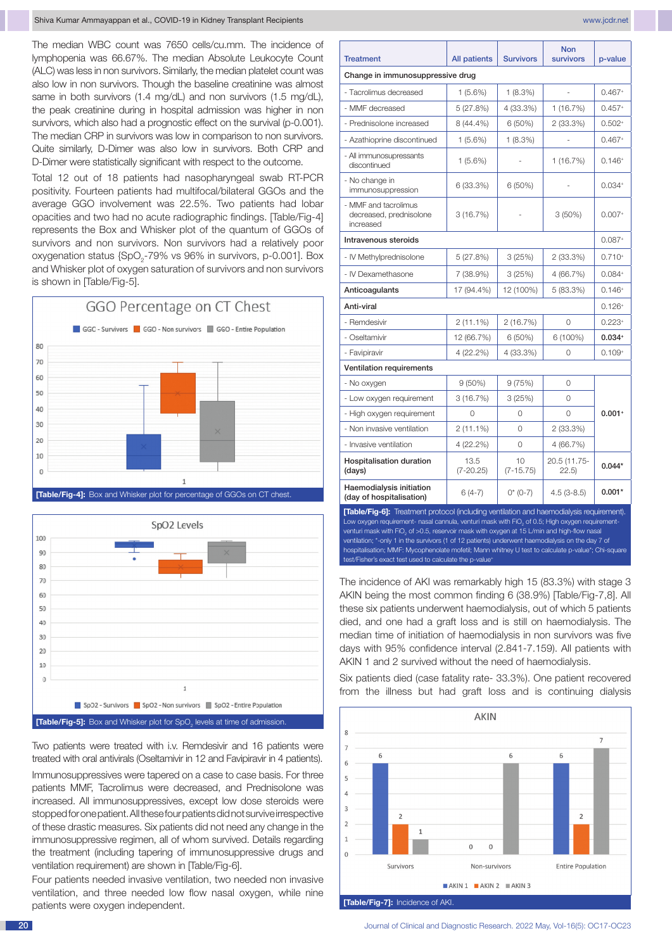The median WBC count was 7650 cells/cu.mm. The incidence of lymphopenia was 66.67%. The median Absolute Leukocyte Count (ALC) was less in non survivors. Similarly, the median platelet count was also low in non survivors. Though the baseline creatinine was almost same in both survivors (1.4 mg/dL) and non survivors (1.5 mg/dL), the peak creatinine during in hospital admission was higher in non survivors, which also had a prognostic effect on the survival (p-0.001). The median CRP in survivors was low in comparison to non survivors. Quite similarly, D-Dimer was also low in survivors. Both CRP and D-Dimer were statistically significant with respect to the outcome.

Total 12 out of 18 patients had nasopharyngeal swab RT-PCR positivity. Fourteen patients had multifocal/bilateral GGOs and the average GGO involvement was 22.5%. Two patients had lobar opacities and two had no acute radiographic findings. [Table/Fig-4] represents the Box and Whisker plot of the quantum of GGOs of survivors and non survivors. Non survivors had a relatively poor oxygenation status {SpO<sub>2</sub>-79% vs 96% in survivors, p-0.001]. Box and Whisker plot of oxygen saturation of survivors and non survivors is shown in ITable/Fig-51.





Two patients were treated with i.v. Remdesivir and 16 patients were treated with oral antivirals (Oseltamivir in 12 and Favipiravir in 4 patients).

Immunosuppressives were tapered on a case to case basis. For three patients MMF, Tacrolimus were decreased, and Prednisolone was increased. All immunosuppressives, except low dose steroids were stopped for one patient. All these four patients did not survive irrespective of these drastic measures. Six patients did not need any change in the immunosuppressive regimen, all of whom survived. Details regarding the treatment (including tapering of immunosuppressive drugs and ventilation requirement) are shown in [Table/Fig-6].

Four patients needed invasive ventilation, two needed non invasive ventilation, and three needed low flow nasal oxygen, while nine patients were oxygen independent. **[Table/Fig-7]:** Incidence of AKI

| <b>Treatment</b>                                                                                                                                                                                                                                                                                                                                                                                                                                                                                                                                                                       | <b>All patients</b>   | <b>Survivors</b>    | survivors              | p-value     |  |  |  |  |
|----------------------------------------------------------------------------------------------------------------------------------------------------------------------------------------------------------------------------------------------------------------------------------------------------------------------------------------------------------------------------------------------------------------------------------------------------------------------------------------------------------------------------------------------------------------------------------------|-----------------------|---------------------|------------------------|-------------|--|--|--|--|
| Change in immunosuppressive drug                                                                                                                                                                                                                                                                                                                                                                                                                                                                                                                                                       |                       |                     |                        |             |  |  |  |  |
| - Tacrolimus decreased                                                                                                                                                                                                                                                                                                                                                                                                                                                                                                                                                                 | 1 (5.6%)              | 1 (8.3%)            |                        | $0.467+$    |  |  |  |  |
| - MMF decreased                                                                                                                                                                                                                                                                                                                                                                                                                                                                                                                                                                        | 5 (27.8%)             | 4 (33.3%)           | 1(16.7%)               | $0.457+$    |  |  |  |  |
| - Prednisolone increased                                                                                                                                                                                                                                                                                                                                                                                                                                                                                                                                                               | 8 (44.4%)             | 6 (50%)             | $2(33.3\%)$            | $0.502+$    |  |  |  |  |
| - Azathioprine discontinued                                                                                                                                                                                                                                                                                                                                                                                                                                                                                                                                                            | $1(5.6\%)$            | 1(8.3%)             |                        | $0.467+$    |  |  |  |  |
| - All immunosupressants<br>discontinued                                                                                                                                                                                                                                                                                                                                                                                                                                                                                                                                                | 1 (5.6%)              |                     | 1(16.7%)               | $0.146+$    |  |  |  |  |
| - No change in<br>immunosuppression                                                                                                                                                                                                                                                                                                                                                                                                                                                                                                                                                    | 6 (33.3%)             | $6(50\%)$           |                        | $0.034+$    |  |  |  |  |
| - MMF and tacrolimus<br>decreased, prednisolone<br>increased                                                                                                                                                                                                                                                                                                                                                                                                                                                                                                                           | 3(16.7%)              |                     | $3(50\%)$              | $0.007+$    |  |  |  |  |
| Intravenous steroids                                                                                                                                                                                                                                                                                                                                                                                                                                                                                                                                                                   |                       |                     |                        | $0.087+$    |  |  |  |  |
| - IV Methylprednisolone                                                                                                                                                                                                                                                                                                                                                                                                                                                                                                                                                                | 5 (27.8%)             | 3(25%)              | 2(33.3%)               | $0.710+$    |  |  |  |  |
| - IV Dexamethasone                                                                                                                                                                                                                                                                                                                                                                                                                                                                                                                                                                     | 7 (38.9%)             | 3(25%)              | 4 (66.7%)              | $0.084^{+}$ |  |  |  |  |
| Anticoagulants                                                                                                                                                                                                                                                                                                                                                                                                                                                                                                                                                                         | 17 (94.4%)            | 12 (100%)           | 5(83.3%)               | $0.146+$    |  |  |  |  |
| Anti-viral                                                                                                                                                                                                                                                                                                                                                                                                                                                                                                                                                                             |                       |                     |                        | $0.126+$    |  |  |  |  |
| - Remdesivir                                                                                                                                                                                                                                                                                                                                                                                                                                                                                                                                                                           | $2(11.1\%)$           | 2 (16.7%)           | 0                      | $0.223+$    |  |  |  |  |
| - Oseltamivir                                                                                                                                                                                                                                                                                                                                                                                                                                                                                                                                                                          | 12 (66.7%)            | 6 (50%)             | 6 (100%)               | $0.034+$    |  |  |  |  |
| - Favipiravir                                                                                                                                                                                                                                                                                                                                                                                                                                                                                                                                                                          | 4 (22.2%)             | 4 (33.3%)           | 0                      | $0.109+$    |  |  |  |  |
| Ventilation requirements                                                                                                                                                                                                                                                                                                                                                                                                                                                                                                                                                               |                       |                     |                        |             |  |  |  |  |
| - No oxygen                                                                                                                                                                                                                                                                                                                                                                                                                                                                                                                                                                            | $9(50\%)$             | 9 (75%)             | 0                      |             |  |  |  |  |
| - Low oxygen requirement                                                                                                                                                                                                                                                                                                                                                                                                                                                                                                                                                               | 3(16.7%)              | 3(25%)              | 0                      |             |  |  |  |  |
| - High oxygen requirement                                                                                                                                                                                                                                                                                                                                                                                                                                                                                                                                                              | 0                     | 0                   | 0                      | $0.001 +$   |  |  |  |  |
| - Non invasive ventilation                                                                                                                                                                                                                                                                                                                                                                                                                                                                                                                                                             | $2(11.1\%)$           | 0                   | $2(33.3\%)$            |             |  |  |  |  |
| - Invasive ventilation                                                                                                                                                                                                                                                                                                                                                                                                                                                                                                                                                                 | 4 (22.2%)             | 0                   | 4 (66.7%)              |             |  |  |  |  |
| Hospitalisation duration<br>(days)                                                                                                                                                                                                                                                                                                                                                                                                                                                                                                                                                     | 13.5<br>$(7 - 20.25)$ | 10<br>$(7 - 15.75)$ | 20.5 (11.75-<br>(22.5) | $0.044*$    |  |  |  |  |
| Haemodialysis initiation<br>(day of hospitalisation)                                                                                                                                                                                                                                                                                                                                                                                                                                                                                                                                   | $6(4-7)$              | $0*(0-7)$           | $4.5(3-8.5)$           | $0.001*$    |  |  |  |  |
| [Table/Fig-6]: Treatment protocol (including ventilation and haemodialysis requirement).<br>Low oxygen requirement- nasal cannula, venturi mask with FiO <sub>2</sub> of 0.5; High oxygen requirement-<br>venturi mask with FiO <sub>2</sub> of >0.5, reservoir mask with oxygen at 15 L/min and high-flow nasal<br>ventilation; *-only 1 in the survivors (1 of 12 patients) underwent haemodialysis on the day 7 of<br>hospitalisation; MMF: Mycophenolate mofetil; Mann whitney U test to calculate p-value*; Chi-square<br>test/Fisher's exact test used to calculate the p-value+ |                       |                     |                        |             |  |  |  |  |

The incidence of AKI was remarkably high 15 (83.3%) with stage 3 AKIN being the most common finding 6 (38.9%) [Table/Fig-7,8]. All these six patients underwent haemodialysis, out of which 5 patients died, and one had a graft loss and is still on haemodialysis. The median time of initiation of haemodialysis in non survivors was five days with 95% confidence interval (2.841-7.159). All patients with AKIN 1 and 2 survived without the need of haemodialysis.

Six patients died (case fatality rate- 33.3%). One patient recovered from the illness but had graft loss and is continuing dialysis



Non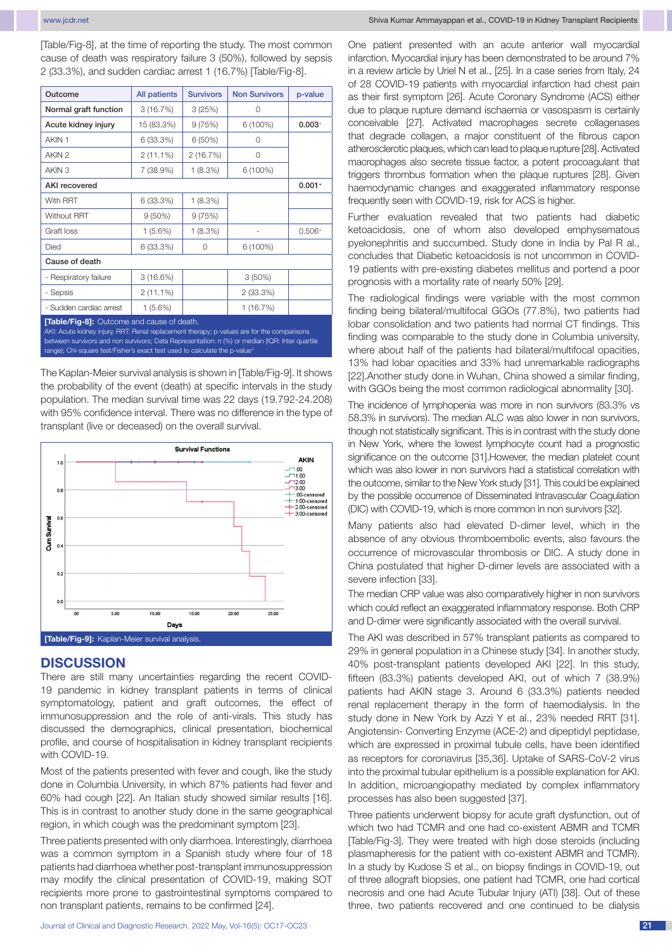[Table/Fig-8], at the time of reporting the study. The most common cause of death was respiratory failure 3 (50%), followed by sepsis 2 (33.3%), and sudden cardiac arrest 1 (16.7%) [Table/Fig-8].

| Outcome                                    | All patients | <b>Survivors</b> | <b>Non Survivors</b> | p-value  |  |  |  |  |  |
|--------------------------------------------|--------------|------------------|----------------------|----------|--|--|--|--|--|
| Normal graft function                      | 3(16.7%)     | 3(25%)           | $\Omega$             |          |  |  |  |  |  |
| Acute kidney injury                        | 15 (83.3%)   | 9(75%)           | 6 (100%)             | $0.003+$ |  |  |  |  |  |
| AKIN 1                                     | 6 (33.3%)    | 6(50%)           | $\Omega$             |          |  |  |  |  |  |
| AKIN <sub>2</sub>                          | $2(11.1\%)$  | 2(16.7%)         | 0                    |          |  |  |  |  |  |
| AKIN <sub>3</sub>                          | 7 (38.9%)    | 1(8.3%)          | $6(100\%)$           |          |  |  |  |  |  |
| <b>AKI</b> recovered                       |              |                  |                      | $0.001+$ |  |  |  |  |  |
| With RRT                                   | 6 (33.3%)    | 1(8.3%)          |                      |          |  |  |  |  |  |
| <b>Without RRT</b>                         | $9(50\%)$    | 9(75%)           |                      |          |  |  |  |  |  |
| Graft loss                                 | $1(5.6\%)$   | 1(8.3%)          |                      | $0.506+$ |  |  |  |  |  |
| Died                                       | 6(33.3%)     | 0                | $6(100\%)$           |          |  |  |  |  |  |
| Cause of death                             |              |                  |                      |          |  |  |  |  |  |
| - Respiratory failure                      | $3(16.6\%)$  |                  | $3(50\%)$            |          |  |  |  |  |  |
| - Sepsis                                   | $2(11.1\%)$  |                  | $2(33.3\%)$          |          |  |  |  |  |  |
| - Sudden cardiac arrest                    | $1(5.6\%)$   |                  | 1(16.7%)             |          |  |  |  |  |  |
| [Table/Fig-8]: Outcome and cause of death. |              |                  |                      |          |  |  |  |  |  |

AKI: Acute kidney injury, RRT: Renal replacement therapy; p-values are for the comparisons between survivors and non survivors; Data Representation: n (%) or median (IQR: Inter quartile range); Chi-square test/Fisher's exact test used to calculate the p-value<sup>+</sup>

The Kaplan-Meier survival analysis is shown in [Table/Fig-9]. It shows the probability of the event (death) at specific intervals in the study population. The median survival time was 22 days (19.792-24.208) with 95% confidence interval. There was no difference in the type of transplant (live or deceased) on the overall survival.



## **DISCUSSION**

There are still many uncertainties regarding the recent COVID-19 pandemic in kidney transplant patients in terms of clinical symptomatology, patient and graft outcomes, the effect of immunosuppression and the role of anti-virals. This study has discussed the demographics, clinical presentation, biochemical profile, and course of hospitalisation in kidney transplant recipients with COVID-19.

Most of the patients presented with fever and cough, like the study done in Columbia University, in which 87% patients had fever and 60% had cough [22]. An Italian study showed similar results [16]. This is in contrast to another study done in the same geographical region, in which cough was the predominant symptom [23].

Three patients presented with only diarrhoea. Interestingly, diarrhoea was a common symptom in a Spanish study where four of 18 patients had diarrhoea whether post-transplant immunosuppression may modify the clinical presentation of COVID-19, making SOT recipients more prone to gastrointestinal symptoms compared to non transplant patients, remains to be confirmed [24].

One patient presented with an acute anterior wall myocardial infarction. Myocardial injury has been demonstrated to be around 7% in a review article by Uriel N et al., [25]. In a case series from Italy, 24 of 28 COVID-19 patients with myocardial infarction had chest pain as their first symptom [26]. Acute Coronary Syndrome (ACS) either due to plaque rupture demand ischaemia or vasospasm is certainly conceivable [27]. Activated macrophages secrete collagenases that degrade collagen, a major constituent of the fibrous capon atherosclerotic plaques, which can lead to plaque rupture [28]. Activated macrophages also secrete tissue factor, a potent procoagulant that triggers thrombus formation when the plaque ruptures [28]. Given haemodynamic changes and exaggerated inflammatory response frequently seen with COVID-19, risk for ACS is higher.

Further evaluation revealed that two patients had diabetic ketoacidosis, one of whom also developed emphysematous pyelonephritis and succumbed. Study done in India by Pal R al., concludes that Diabetic ketoacidosis is not uncommon in COVID-19 patients with pre-existing diabetes mellitus and portend a poor prognosis with a mortality rate of nearly 50% [29].

The radiological findings were variable with the most common finding being bilateral/multifocal GGOs (77.8%), two patients had lobar consolidation and two patients had normal CT findings. This finding was comparable to the study done in Columbia university, where about half of the patients had bilateral/multifocal opacities, 13% had lobar opacities and 33% had unremarkable radiographs [22].Another study done in Wuhan, China showed a similar finding, with GGOs being the most common radiological abnormality [30].

The incidence of lymphopenia was more in non survivors (83.3% vs 58.3% in survivors). The median ALC was also lower in non survivors, though not statistically significant. This is in contrast with the study done in New York, where the lowest lymphocyte count had a prognostic significance on the outcome [31].However, the median platelet count which was also lower in non survivors had a statistical correlation with the outcome, similar to the New York study [31]. This could be explained by the possible occurrence of Disseminated Intravascular Coagulation (DIC) with COVID-19, which is more common in non survivors [32].

Many patients also had elevated D-dimer level, which in the absence of any obvious thromboembolic events, also favours the occurrence of microvascular thrombosis or DIC. A study done in China postulated that higher D-dimer levels are associated with a severe infection [33].

The median CRP value was also comparatively higher in non survivors which could reflect an exaggerated inflammatory response. Both CRP and D-dimer were significantly associated with the overall survival.

The AKI was described in 57% transplant patients as compared to 29% in general population in a Chinese study [34]. In another study, 40% post-transplant patients developed AKI [22]. In this study, fifteen (83.3%) patients developed AKI, out of which 7 (38.9%) patients had AKIN stage 3. Around 6 (33.3%) patients needed renal replacement therapy in the form of haemodialysis. In the study done in New York by Azzi Y et al., 23% needed RRT [31]. Angiotensin- Converting Enzyme (ACE-2) and dipeptidyl peptidase, which are expressed in proximal tubule cells, have been identified as receptors for coronavirus [35,36]. Uptake of SARS-CoV-2 virus into the proximal tubular epithelium is a possible explanation for AKI. In addition, microangiopathy mediated by complex inflammatory processes has also been suggested [37].

Three patients underwent biopsy for acute graft dysfunction, out of which two had TCMR and one had co-existent ABMR and TCMR [Table/Fig-3]. They were treated with high dose steroids (including plasmapheresis for the patient with co-existent ABMR and TCMR). In a study by Kudose S et al., on biopsy findings in COVID-19, out of three allograft biopsies, one patient had TCMR, one had cortical necrosis and one had Acute Tubular Injury (ATI) [38]. Out of these three, two patients recovered and one continued to be dialysis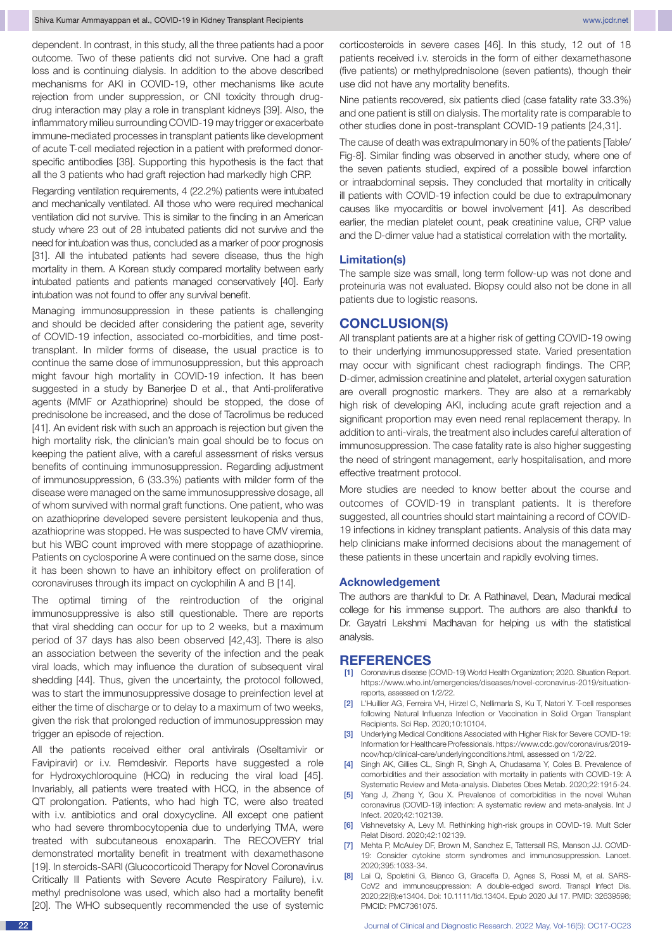dependent. In contrast, in this study, all the three patients had a poor outcome. Two of these patients did not survive. One had a graft loss and is continuing dialysis. In addition to the above described mechanisms for AKI in COVID-19, other mechanisms like acute rejection from under suppression, or CNI toxicity through drugdrug interaction may play a role in transplant kidneys [39]. Also, the inflammatory milieu surrounding COVID-19 may trigger or exacerbate immune-mediated processes in transplant patients like development of acute T-cell mediated rejection in a patient with preformed donorspecific antibodies [38]. Supporting this hypothesis is the fact that all the 3 patients who had graft rejection had markedly high CRP.

Regarding ventilation requirements, 4 (22.2%) patients were intubated and mechanically ventilated. All those who were required mechanical ventilation did not survive. This is similar to the finding in an American study where 23 out of 28 intubated patients did not survive and the need for intubation was thus, concluded as a marker of poor prognosis [31]. All the intubated patients had severe disease, thus the high mortality in them. A Korean study compared mortality between early intubated patients and patients managed conservatively [40]. Early intubation was not found to offer any survival benefit.

Managing immunosuppression in these patients is challenging and should be decided after considering the patient age, severity of COVID-19 infection, associated co-morbidities, and time posttransplant. In milder forms of disease, the usual practice is to continue the same dose of immunosuppression, but this approach might favour high mortality in COVID-19 infection. It has been suggested in a study by Banerjee D et al., that Anti-proliferative agents (MMF or Azathioprine) should be stopped, the dose of prednisolone be increased, and the dose of Tacrolimus be reduced [41]. An evident risk with such an approach is rejection but given the high mortality risk, the clinician's main goal should be to focus on keeping the patient alive, with a careful assessment of risks versus benefits of continuing immunosuppression. Regarding adjustment of immunosuppression, 6 (33.3%) patients with milder form of the disease were managed on the same immunosuppressive dosage, all of whom survived with normal graft functions. One patient, who was on azathioprine developed severe persistent leukopenia and thus, azathioprine was stopped. He was suspected to have CMV viremia, but his WBC count improved with mere stoppage of azathioprine. Patients on cyclosporine A were continued on the same dose, since it has been shown to have an inhibitory effect on proliferation of coronaviruses through its impact on cyclophilin A and B [14].

The optimal timing of the reintroduction of the original immunosuppressive is also still questionable. There are reports that viral shedding can occur for up to 2 weeks, but a maximum period of 37 days has also been observed [42,43]. There is also an association between the severity of the infection and the peak viral loads, which may influence the duration of subsequent viral shedding [44]. Thus, given the uncertainty, the protocol followed, was to start the immunosuppressive dosage to preinfection level at either the time of discharge or to delay to a maximum of two weeks, given the risk that prolonged reduction of immunosuppression may trigger an episode of rejection.

All the patients received either oral antivirals (Oseltamivir or Favipiravir) or i.v. Remdesivir. Reports have suggested a role for Hydroxychloroquine (HCQ) in reducing the viral load [45]. Invariably, all patients were treated with HCQ, in the absence of QT prolongation. Patients, who had high TC, were also treated with i.v. antibiotics and oral doxycycline. All except one patient who had severe thrombocytopenia due to underlying TMA, were treated with subcutaneous enoxaparin. The RECOVERY trial demonstrated mortality benefit in treatment with dexamethasone [19]. In steroids-SARI (Glucocorticoid Therapy for Novel Coronavirus Critically Ill Patients with Severe Acute Respiratory Failure), i.v. methyl prednisolone was used, which also had a mortality benefit [20]. The WHO subsequently recommended the use of systemic corticosteroids in severe cases [46]. In this study, 12 out of 18 patients received i.v. steroids in the form of either dexamethasone (five patients) or methylprednisolone (seven patients), though their use did not have any mortality benefits.

Nine patients recovered, six patients died (case fatality rate 33.3%) and one patient is still on dialysis. The mortality rate is comparable to other studies done in post-transplant COVID-19 patients [24,31].

The cause of death was extrapulmonary in 50% of the patients [Table/ Fig-8]. Similar finding was observed in another study, where one of the seven patients studied, expired of a possible bowel infarction or intraabdominal sepsis. They concluded that mortality in critically ill patients with COVID-19 infection could be due to extrapulmonary causes like myocarditis or bowel involvement [41]. As described earlier, the median platelet count, peak creatinine value, CRP value and the D-dimer value had a statistical correlation with the mortality.

#### **Limitation(s)**

The sample size was small, long term follow-up was not done and proteinuria was not evaluated. Biopsy could also not be done in all patients due to logistic reasons.

## **CONCLUSION(S)**

All transplant patients are at a higher risk of getting COVID-19 owing to their underlying immunosuppressed state. Varied presentation may occur with significant chest radiograph findings. The CRP, D-dimer, admission creatinine and platelet, arterial oxygen saturation are overall prognostic markers. They are also at a remarkably high risk of developing AKI, including acute graft rejection and a significant proportion may even need renal replacement therapy. In addition to anti-virals, the treatment also includes careful alteration of immunosuppression. The case fatality rate is also higher suggesting the need of stringent management, early hospitalisation, and more effective treatment protocol.

More studies are needed to know better about the course and outcomes of COVID-19 in transplant patients. It is therefore suggested, all countries should start maintaining a record of COVID-19 infections in kidney transplant patients. Analysis of this data may help clinicians make informed decisions about the management of these patients in these uncertain and rapidly evolving times.

#### **Acknowledgement**

The authors are thankful to Dr. A Rathinavel, Dean, Madurai medical college for his immense support. The authors are also thankful to Dr. Gayatri Lekshmi Madhavan for helping us with the statistical analysis.

### **REFERENCES**

- [1] Coronavirus disease (COVID-19) World Health Organization; 2020. Situation Report. https://www.who.int/emergencies/diseases/novel-coronavirus-2019/situationreports, assessed on 1/2/22.
- [2] L'Huillier AG, Ferreira VH, Hirzel C, Nellimarla S, Ku T, Natori Y. T-cell responses following Natural Influenza Infection or Vaccination in Solid Organ Transplant Recipients. Sci Rep. 2020;10:10104.
- Underlying Medical Conditions Associated with Higher Risk for Severe COVID-19: Information for Healthcare Professionals. https://www.cdc.gov/coronavirus/2019 ncov/hcp/clinical-care/underlyingconditions.html, assessed on 1/2/22.
- [4] Singh AK, Gillies CL, Singh R, Singh A, Chudasama Y, Coles B. Prevalence of comorbidities and their association with mortality in patients with COVID-19: A Systematic Review and Meta-analysis. Diabetes Obes Metab. 2020;22:1915-24.
- [5] Yang J, Zheng Y, Gou X. Prevalence of comorbidities in the novel Wuhan coronavirus (COVID-19) infection: A systematic review and meta-analysis. Int J Infect. 2020;42:102139.
- Vishnevetsky A, Levy M. Rethinking high-risk groups in COVID-19. Mult Scler Relat Disord. 2020;42:102139.
- [7] Mehta P, McAuley DF, Brown M, Sanchez E, Tattersall RS, Manson JJ. COVID-19: Consider cytokine storm syndromes and immunosuppression. Lancet. 2020;395:1033-34.
- [8] Lai Q, Spoletini G, Bianco G, Graceffa D, Agnes S, Rossi M, et al. SARS-CoV2 and immunosuppression: A double-edged sword. Transpl Infect Dis. 2020;22(6):e13404. Doi: 10.1111/tid.13404. Epub 2020 Jul 17. PMID: 32639598; PMCID: PMC7361075.